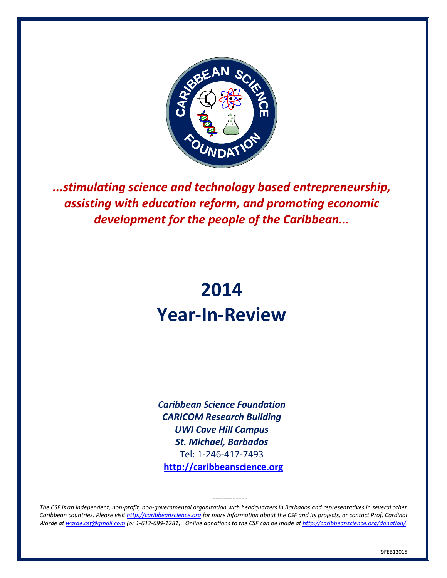

*...stimulating science and technology based entrepreneurship, assisting with education reform, and promoting economic development for the people of the Caribbean...*

# **2014 Year-In-Review**

*Caribbean Science Foundation CARICOM Research Building UWI Cave Hill Campus St. Michael, Barbados* Tel: 1-246-417-7493 **[http://caribbeanscience.org](http://caribbeanscience.org/)**

*The CSF is an independent, non-profit, non-governmental organization with headquarters in Barbados and representatives in several other Caribbean countries. Please visi[t http://caribbeanscience.org](http://caribbeanscience.org/) for more information about the CSF and its projects, or contact Prof. Cardinal Warde a[t warde.csf@gmail.com](mailto:warde.csf@gmail.com) (or 1-617-699-1281). Online donations to the CSF can be made a[t http://caribbeanscience.org/donation/](http://caribbeanscience.org/donation/)*.

------------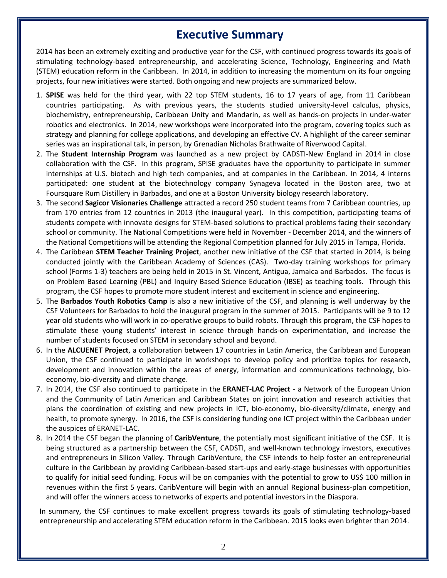# **Executive Summary**

2014 has been an extremely exciting and productive year for the CSF, with continued progress towards its goals of stimulating technology-based entrepreneurship, and accelerating Science, Technology, Engineering and Math (STEM) education reform in the Caribbean. In 2014, in addition to increasing the momentum on its four ongoing projects, four new initiatives were started. Both ongoing and new projects are summarized below.

- 1. **SPISE** was held for the third year, with 22 top STEM students, 16 to 17 years of age, from 11 Caribbean countries participating. As with previous years, the students studied university-level calculus, physics, biochemistry, entrepreneurship, Caribbean Unity and Mandarin, as well as hands-on projects in under-water robotics and electronics. In 2014, new workshops were incorporated into the program, covering topics such as strategy and planning for college applications, and developing an effective CV. A highlight of the career seminar series was an inspirational talk, in person, by Grenadian Nicholas Brathwaite of Riverwood Capital.
- 2. The **Student Internship Program** was launched as a new project by CADSTI-New England in 2014 in close collaboration with the CSF. In this program, SPISE graduates have the opportunity to participate in summer internships at U.S. biotech and high tech companies, and at companies in the Caribbean. In 2014, 4 interns participated: one student at the biotechnology company Synageva located in the Boston area, two at Foursquare Rum Distillery in Barbados, and one at a Boston University biology research laboratory.
- 3. The second **Sagicor Visionaries Challenge** attracted a record 250 student teams from 7 Caribbean countries, up from 170 entries from 12 countries in 2013 (the inaugural year). In this competition, participating teams of students compete with innovate designs for STEM-based solutions to practical problems facing their secondary school or community. The National Competitions were held in November - December 2014, and the winners of the National Competitions will be attending the Regional Competition planned for July 2015 in Tampa, Florida.
- 4. The Caribbean **STEM Teacher Training Project**, another new initiative of the CSF that started in 2014, is being conducted jointly with the Caribbean Academy of Sciences (CAS). Two-day training workshops for primary school (Forms 1-3) teachers are being held in 2015 in St. Vincent, Antigua, Jamaica and Barbados. The focus is on Problem Based Learning (PBL) and Inquiry Based Science Education (IBSE) as teaching tools. Through this program, the CSF hopes to promote more student interest and excitement in science and engineering.
- 5. The **Barbados Youth Robotics Camp** is also a new initiative of the CSF, and planning is well underway by the CSF Volunteers for Barbados to hold the inaugural program in the summer of 2015. Participants will be 9 to 12 year old students who will work in co-operative groups to build robots. Through this program, the CSF hopes to stimulate these young students' interest in science through hands-on experimentation, and increase the number of students focused on STEM in secondary school and beyond.
- 6. In the **ALCUENET Project**, a collaboration between 17 countries in Latin America, the Caribbean and European Union, the CSF continued to participate in workshops to develop policy and prioritize topics for research, development and innovation within the areas of energy, information and communications technology, bioeconomy, bio-diversity and climate change.
- 7. In 2014, the CSF also continued to participate in the **ERANET-LAC Project** a Network of the European Union and the Community of Latin American and Caribbean States on joint innovation and research activities that plans the coordination of existing and new projects in ICT, bio-economy, bio-diversity/climate, energy and health, to promote synergy. In 2016, the CSF is considering funding one ICT project within the Caribbean under the auspices of ERANET-LAC.
- 8. In 2014 the CSF began the planning of **CaribVenture**, the potentially most significant initiative of the CSF. It is being structured as a partnership between the CSF, CADSTI, and well-known technology investors, executives and entrepreneurs in Silicon Valley. Through CaribVenture, the CSF intends to help foster an entrepreneurial culture in the Caribbean by providing Caribbean-based start-ups and early-stage businesses with opportunities to qualify for initial seed funding. Focus will be on companies with the potential to grow to US\$ 100 million in revenues within the first 5 years. CaribVenture will begin with an annual Regional business-plan competition, and will offer the winners access to networks of experts and potential investors in the Diaspora.

In summary, the CSF continues to make excellent progress towards its goals of stimulating technology-based entrepreneurship and accelerating STEM education reform in the Caribbean. 2015 looks even brighter than 2014.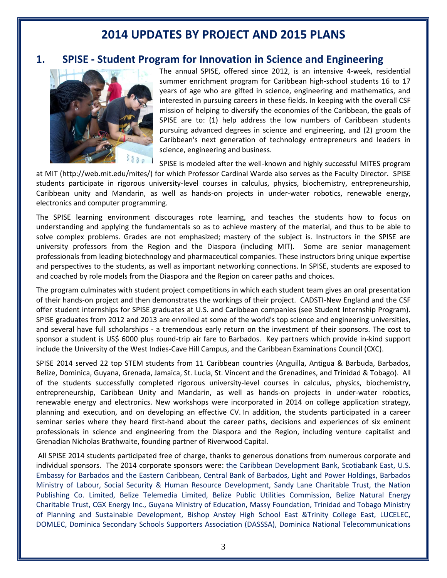# **2014 UPDATES BY PROJECT AND 2015 PLANS**

### **1. SPISE - Student Program for Innovation in Science and Engineering**



The annual SPISE, offered since 2012, is an intensive 4-week, residential summer enrichment program for Caribbean high-school students 16 to 17 years of age who are gifted in science, engineering and mathematics, and interested in pursuing careers in these fields. In keeping with the overall CSF mission of helping to diversify the economies of the Caribbean, the goals of SPISE are to: (1) help address the low numbers of Caribbean students pursuing advanced degrees in science and engineering, and (2) groom the Caribbean's next generation of technology entrepreneurs and leaders in science, engineering and business.

SPISE is modeled after the well-known and highly successful MITES program

at MIT [\(http://web.mit.edu/mites/\)](http://web.mit.edu/mites/) for which Professor Cardinal Warde also serves as the Faculty Director. SPISE students participate in rigorous university-level courses in calculus, physics, biochemistry, entrepreneurship, Caribbean unity and Mandarin, as well as hands-on projects in under-water robotics, renewable energy, electronics and computer programming.

The SPISE learning environment discourages rote learning, and teaches the students how to focus on understanding and applying the fundamentals so as to achieve mastery of the material, and thus to be able to solve complex problems. Grades are not emphasized; mastery of the subject is. Instructors in the SPISE are university professors from the Region and the Diaspora (including MIT). Some are senior management professionals from leading biotechnology and pharmaceutical companies. These instructors bring unique expertise and perspectives to the students, as well as important networking connections. In SPISE, students are exposed to and coached by role models from the Diaspora and the Region on career paths and choices.

The program culminates with student project competitions in which each student team gives an oral presentation of their hands-on project and then demonstrates the workings of their project. CADSTI-New England and the CSF offer student internships for SPISE graduates at U.S. and Caribbean companies (see Student Internship Program). SPISE graduates from 2012 and 2013 are enrolled at some of the world's top science and engineering universities, and several have full scholarships - a tremendous early return on the investment of their sponsors. The cost to sponsor a student is US\$ 6000 plus round-trip air fare to Barbados. Key partners which provide in-kind support include the University of the West Indies-Cave Hill Campus, and the Caribbean Examinations Council (CXC).

SPISE 2014 served 22 top STEM students from 11 Caribbean countries (Anguilla, Antigua & Barbuda, Barbados, Belize, Dominica, Guyana, Grenada, Jamaica, St. Lucia, St. Vincent and the Grenadines, and Trinidad & Tobago). All of the students successfully completed rigorous university-level courses in calculus, physics, biochemistry, entrepreneurship, Caribbean Unity and Mandarin, as well as hands-on projects in under-water robotics, renewable energy and electronics. New workshops were incorporated in 2014 on college application strategy, planning and execution, and on developing an effective CV. In addition, the students participated in a career seminar series where they heard first-hand about the career paths, decisions and experiences of six eminent professionals in science and engineering from the Diaspora and the Region, including venture capitalist and Grenadian Nicholas Brathwaite, founding partner of Riverwood Capital.

All SPISE 2014 students participated free of charge, thanks to generous donations from numerous corporate and individual sponsors. The 2014 corporate sponsors were: the Caribbean Development Bank, Scotiabank East, U.S. Embassy for Barbados and the Eastern Caribbean, Central Bank of Barbados, Light and Power Holdings, Barbados Ministry of Labour, Social Security & Human Resource Development, Sandy Lane Charitable Trust, the Nation Publishing Co. Limited, Belize Telemedia Limited, Belize Public Utilities Commission, Belize Natural Energy Charitable Trust, CGX Energy Inc., Guyana Ministry of Education, Massy Foundation, Trinidad and Tobago Ministry of Planning and Sustainable Development, Bishop Anstey High School East &Trinity College East, LUCELEC, DOMLEC, Dominica Secondary Schools Supporters Association (DASSSA), Dominica National Telecommunications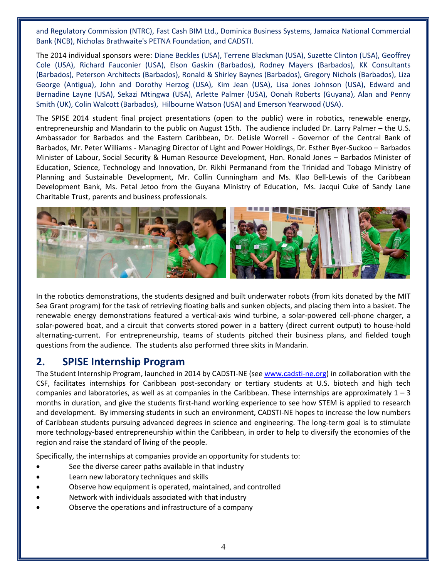and Regulatory Commission (NTRC), Fast Cash BIM Ltd., Dominica Business Systems, Jamaica National Commercial Bank (NCB), Nicholas Brathwaite's PETNA Foundation, and CADSTI.

The 2014 individual sponsors were: Diane Beckles (USA), Terrene Blackman (USA), Suzette Clinton (USA), Geoffrey Cole (USA), Richard Fauconier (USA), Elson Gaskin (Barbados), Rodney Mayers (Barbados), KK Consultants (Barbados), Peterson Architects (Barbados), Ronald & Shirley Baynes (Barbados), Gregory Nichols (Barbados), Liza George (Antigua), John and Dorothy Herzog (USA), Kim Jean (USA), Lisa Jones Johnson (USA), Edward and Bernadine Layne (USA), Sekazi Mtingwa (USA), Arlette Palmer (USA), Oonah Roberts (Guyana), Alan and Penny Smith (UK), Colin Walcott (Barbados), Hilbourne Watson (USA) and Emerson Yearwood (USA).

The SPISE 2014 student final project presentations (open to the public) were in robotics, renewable energy, entrepreneurship and Mandarin to the public on August 15th. The audience included Dr. Larry Palmer – the U.S. Ambassador for Barbados and the Eastern Caribbean, Dr. DeLisle Worrell - Governor of the Central Bank of Barbados, Mr. Peter Williams - Managing Director of Light and Power Holdings, Dr. Esther Byer-Suckoo – Barbados Minister of Labour, Social Security & Human Resource Development, Hon. Ronald Jones – Barbados Minister of Education, Science, Technology and Innovation, Dr. Rikhi Permanand from the Trinidad and Tobago Ministry of Planning and Sustainable Development, Mr. Collin Cunningham and Ms. Klao Bell-Lewis of the Caribbean Development Bank, Ms. Petal Jetoo from the Guyana Ministry of Education, Ms. Jacqui Cuke of Sandy Lane Charitable Trust, parents and business professionals.



In the robotics demonstrations, the students designed and built underwater robots (from kits donated by the MIT Sea Grant program) for the task of retrieving floating balls and sunken objects, and placing them into a basket. The renewable energy demonstrations featured a vertical-axis wind turbine, a solar-powered cell-phone charger, a solar-powered boat, and a circuit that converts stored power in a battery (direct current output) to house-hold alternating-current. For entrepreneurship, teams of students pitched their business plans, and fielded tough questions from the audience. The students also performed three skits in Mandarin.

### **2. SPISE Internship Program**

The Student Internship Program, launched in 2014 by CADSTI-NE (see [www.cadsti-ne.org\)](http://www.cadsti-ne.org/) in collaboration with the CSF, facilitates internships for Caribbean post-secondary or tertiary students at U.S. biotech and high tech companies and laboratories, as well as at companies in the Caribbean. These internships are approximately  $1 - 3$ months in duration, and give the students first-hand working experience to see how STEM is applied to research and development. By immersing students in such an environment, CADSTI-NE hopes to increase the low numbers of Caribbean students pursuing advanced degrees in science and engineering. The long-term goal is to stimulate more technology-based entrepreneurship within the Caribbean, in order to help to diversify the economies of the region and raise the standard of living of the people.

Specifically, the internships at companies provide an opportunity for students to:

- See the diverse career paths available in that industry
- Learn new laboratory techniques and skills
- Observe how equipment is operated, maintained, and controlled
- Network with individuals associated with that industry
- Observe the operations and infrastructure of a company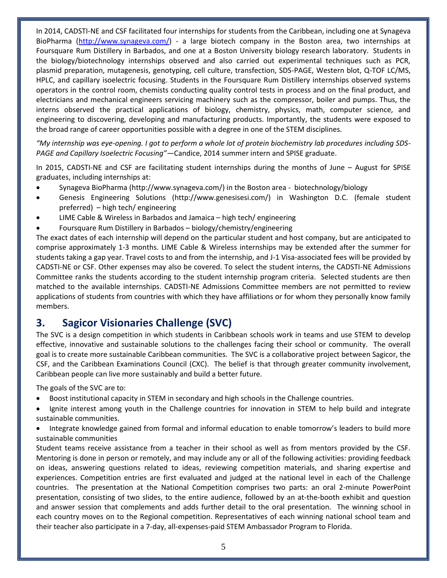In 2014, CADSTI-NE and CSF facilitated four internships for students from the Caribbean, including one at Synageva BioPharma [\(http://www.synageva.com/\)](http://www.synageva.com/) - a large biotech company in the Boston area, two internships at Foursquare Rum Distillery in Barbados, and one at a Boston University biology research laboratory. Students in the biology/biotechnology internships observed and also carried out experimental techniques such as PCR, plasmid preparation, mutagenesis, genotyping, cell culture, transfection, SDS-PAGE, Western blot, Q-TOF LC/MS, HPLC, and capillary isoelectric focusing. Students in the Foursquare Rum Distillery internships observed systems operators in the control room, chemists conducting quality control tests in process and on the final product, and electricians and mechanical engineers servicing machinery such as the compressor, boiler and pumps. Thus, the interns observed the practical applications of biology, chemistry, physics, math, computer science, and engineering to discovering, developing and manufacturing products. Importantly, the students were exposed to the broad range of career opportunities possible with a degree in one of the STEM disciplines.

*"My internship was eye-opening. I got to perform a whole lot of protein biochemistry lab procedures including SDS-PAGE and Capillary Isoelectric Focusing"—*Candice, 2014 summer intern and SPISE graduate.

In 2015, CADSTI-NE and CSF are facilitating student internships during the months of June – August for SPISE graduates, including internships at:

- Synageva BioPharma [\(http://www.synageva.com/\)](http://www.synageva.com/) in the Boston area biotechnology/biology
- Genesis Engineering Solutions [\(http://www.genesisesi.com/\)](http://www.genesisesi.com/) in Washington D.C. (female student preferred) – high tech/ engineering
- LIME Cable & Wireless in Barbados and Jamaica high tech/ engineering
- Foursquare Rum Distillery in Barbados biology/chemistry/engineering

The exact dates of each internship will depend on the particular student and host company, but are anticipated to comprise approximately 1-3 months. LIME Cable & Wireless internships may be extended after the summer for students taking a gap year. Travel costs to and from the internship, and J-1 Visa-associated fees will be provided by CADSTI-NE or CSF. Other expenses may also be covered. To select the student interns, the CADSTI-NE Admissions Committee ranks the students according to the student internship program criteria. Selected students are then matched to the available internships. CADSTI-NE Admissions Committee members are not permitted to review applications of students from countries with which they have affiliations or for whom they personally know family members.

# **3. Sagicor Visionaries Challenge (SVC)**

The SVC is a design competition in which students in Caribbean schools work in teams and use STEM to develop effective, innovative and sustainable solutions to the challenges facing their school or community. The overall goal is to create more sustainable Caribbean communities. The SVC is a collaborative project between Sagicor, the CSF, and the Caribbean Examinations Council (CXC). The belief is that through greater community involvement, Caribbean people can live more sustainably and build a better future.

The goals of the SVC are to:

- Boost institutional capacity in STEM in secondary and high schools in the Challenge countries.
- Ignite interest among youth in the Challenge countries for innovation in STEM to help build and integrate sustainable communities.

 Integrate knowledge gained from formal and informal education to enable tomorrow's leaders to build more sustainable communities

Student teams receive assistance from a teacher in their school as well as from mentors provided by the CSF. Mentoring is done in person or remotely, and may include any or all of the following activities: providing feedback on ideas, answering questions related to ideas, reviewing competition materials, and sharing expertise and experiences. Competition entries are first evaluated and judged at the national level in each of the Challenge countries. The presentation at the National Competition comprises two parts: an oral 2-minute PowerPoint presentation, consisting of two slides, to the entire audience, followed by an at-the-booth exhibit and question and answer session that complements and adds further detail to the oral presentation. The winning school in each country moves on to the Regional competition. Representatives of each winning national school team and their teacher also participate in a 7-day, all-expenses-paid STEM Ambassador Program to Florida.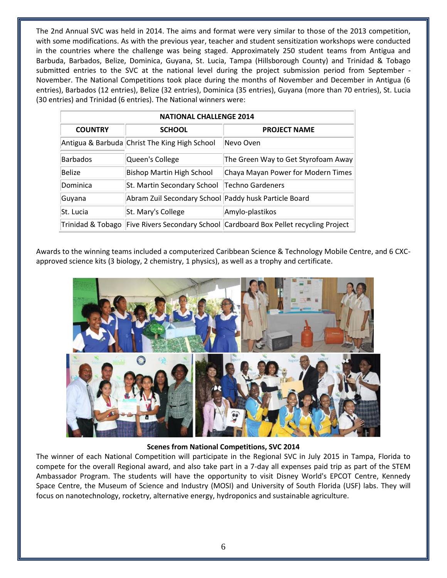The 2nd Annual SVC was held in 2014. The aims and format were very similar to those of the 2013 competition, with some modifications. As with the previous year, teacher and student sensitization workshops were conducted in the countries where the challenge was being staged. Approximately 250 student teams from Antigua and Barbuda, Barbados, Belize, Dominica, Guyana, St. Lucia, Tampa (Hillsborough County) and Trinidad & Tobago submitted entries to the SVC at the national level during the project submission period from September - November. The National Competitions took place during the months of November and December in Antigua (6 entries), Barbados (12 entries), Belize (32 entries), Dominica (35 entries), Guyana (more than 70 entries), St. Lucia (30 entries) and Trinidad (6 entries). The National winners were:

| <b>NATIONAL CHALLENGE 2014</b> |                                                       |                                                                     |
|--------------------------------|-------------------------------------------------------|---------------------------------------------------------------------|
| <b>COUNTRY</b>                 | <b>SCHOOL</b>                                         | <b>PROJECT NAME</b>                                                 |
|                                | Antigua & Barbuda Christ The King High School         | Nevo Oven                                                           |
| Barbados                       | Queen's College                                       | The Green Way to Get Styrofoam Away                                 |
| Belize                         | Bishop Martin High School                             | Chaya Mayan Power for Modern Times                                  |
| Dominica                       | St. Martin Secondary School   Techno Gardeners        |                                                                     |
| Guyana                         | Abram Zuil Secondary School Paddy husk Particle Board |                                                                     |
| St. Lucia                      | St. Mary's College                                    | Amylo-plastikos                                                     |
| Trinidad & Tobago              |                                                       | Five Rivers Secondary School Cardboard Box Pellet recycling Project |

Awards to the winning teams included a computerized Caribbean Science & Technology Mobile Centre, and 6 CXCapproved science kits (3 biology, 2 chemistry, 1 physics), as well as a trophy and certificate.



#### **Scenes from National Competitions, SVC 2014**

The winner of each National Competition will participate in the Regional SVC in July 2015 in Tampa, Florida to compete for the overall Regional award, and also take part in a 7-day all expenses paid trip as part of the STEM Ambassador Program. The students will have the opportunity to visit Disney World's EPCOT Centre, Kennedy Space Centre, the Museum of Science and Industry (MOSI) and University of South Florida (USF) labs. They will focus on nanotechnology, rocketry, alternative energy, hydroponics and sustainable agriculture.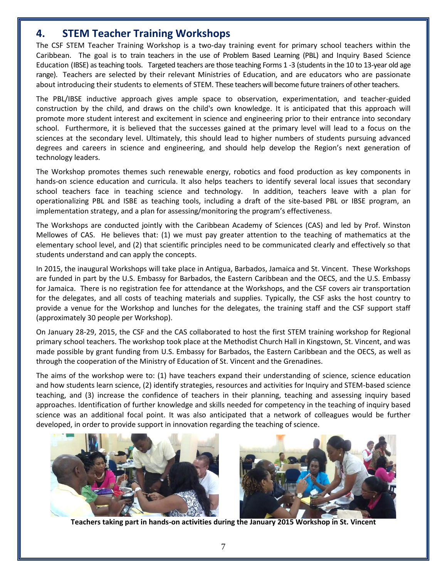# **4. STEM Teacher Training Workshops**

The CSF STEM Teacher Training Workshop is a two-day training event for primary school teachers within the Caribbean. The goal is to train teachers in the use of Problem Based Learning (PBL) and Inquiry Based Science Education (IBSE) as teaching tools. Targeted teachers are those teaching Forms 1 -3 (students in the 10 to 13-year old age range). Teachers are selected by their relevant Ministries of Education, and are educators who are passionate about introducing their students to elements of STEM. These teachers will become future trainers of other teachers.

The PBL/IBSE inductive approach gives ample space to observation, experimentation, and teacher-guided construction by the child, and draws on the child's own knowledge. It is anticipated that this approach will promote more student interest and excitement in science and engineering prior to their entrance into secondary school. Furthermore, it is believed that the successes gained at the primary level will lead to a focus on the sciences at the secondary level. Ultimately, this should lead to higher numbers of students pursuing advanced degrees and careers in science and engineering, and should help develop the Region's next generation of technology leaders.

The Workshop promotes themes such renewable energy, robotics and food production as key components in hands-on science education and curricula. It also helps teachers to identify several local issues that secondary school teachers face in teaching science and technology. In addition, teachers leave with a plan for operationalizing PBL and ISBE as teaching tools, including a draft of the site-based PBL or IBSE program, an implementation strategy, and a plan for assessing/monitoring the program's effectiveness.

The Workshops are conducted jointly with the Caribbean Academy of Sciences (CAS) and led by Prof. Winston Mellowes of CAS. He believes that: (1) we must pay greater attention to the teaching of mathematics at the elementary school level, and (2) that scientific principles need to be communicated clearly and effectively so that students understand and can apply the concepts.

In 2015, the inaugural Workshops will take place in Antigua, Barbados, Jamaica and St. Vincent. These Workshops are funded in part by the U.S. Embassy for Barbados, the Eastern Caribbean and the OECS, and the U.S. Embassy for Jamaica. There is no registration fee for attendance at the Workshops, and the CSF covers air transportation for the delegates, and all costs of teaching materials and supplies. Typically, the CSF asks the host country to provide a venue for the Workshop and lunches for the delegates, the training staff and the CSF support staff (approximately 30 people per Workshop).

On January 28-29, 2015, the CSF and the CAS collaborated to host the first STEM training workshop for Regional primary school teachers. The workshop took place at the Methodist Church Hall in Kingstown, St. Vincent, and was made possible by grant funding from U.S. Embassy for Barbados, the Eastern Caribbean and the OECS, as well as through the cooperation of the Ministry of Education of St. Vincent and the Grenadines.

The aims of the workshop were to: (1) have teachers expand their understanding of science, science education and how students learn science, (2) identify strategies, resources and activities for Inquiry and STEM-based science teaching, and (3) increase the confidence of teachers in their planning, teaching and assessing inquiry based approaches. Identification of further knowledge and skills needed for competency in the teaching of inquiry based science was an additional focal point. It was also anticipated that a network of colleagues would be further developed, in order to provide support in innovation regarding the teaching of science.



**Teachers taking part in hands-on activities during the January 2015 Workshop in St. Vincent**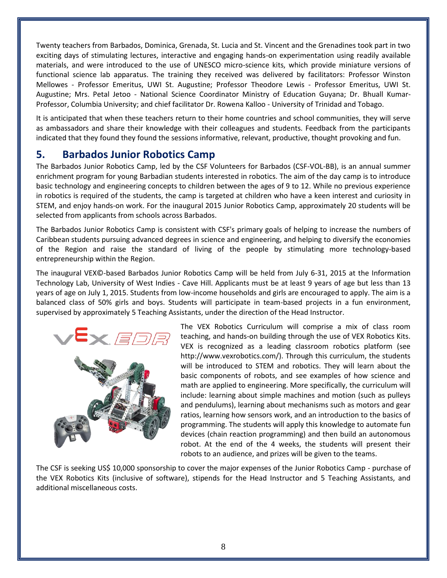Twenty teachers from Barbados, Dominica, Grenada, St. Lucia and St. Vincent and the Grenadines took part in two exciting days of stimulating lectures, interactive and engaging hands-on experimentation using readily available materials, and were introduced to the use of UNESCO micro-science kits, which provide miniature versions of functional science lab apparatus. The training they received was delivered by facilitators: Professor Winston Mellowes - Professor Emeritus, UWI St. Augustine; Professor Theodore Lewis - Professor Emeritus, UWI St. Augustine; Mrs. Petal Jetoo - National Science Coordinator Ministry of Education Guyana; Dr. Bhuall Kumar-Professor, Columbia University; and chief facilitator Dr. Rowena Kalloo - University of Trinidad and Tobago.

It is anticipated that when these teachers return to their home countries and school communities, they will serve as ambassadors and share their knowledge with their colleagues and students. Feedback from the participants indicated that they found they found the sessions informative, relevant, productive, thought provoking and fun.

# **5. Barbados Junior Robotics Camp**

The Barbados Junior Robotics Camp, led by the CSF Volunteers for Barbados (CSF-VOL-BB), is an annual summer enrichment program for young Barbadian students interested in robotics. The aim of the day camp is to introduce basic technology and engineering concepts to children between the ages of 9 to 12. While no previous experience in robotics is required of the students, the camp is targeted at children who have a keen interest and curiosity in STEM, and enjoy hands-on work. For the inaugural 2015 Junior Robotics Camp, approximately 20 students will be selected from applicants from schools across Barbados.

The Barbados Junior Robotics Camp is consistent with CSF's primary goals of helping to increase the numbers of Caribbean students pursuing advanced degrees in science and engineering, and helping to diversify the economies of the Region and raise the standard of living of the people by stimulating more technology-based entrepreneurship within the Region.

The inaugural VEX©-based Barbados Junior Robotics Camp will be held from July 6-31, 2015 at the Information Technology Lab, University of West Indies - Cave Hill. Applicants must be at least 9 years of age but less than 13 years of age on July 1, 2015. Students from low-income households and girls are encouraged to apply. The aim is a balanced class of 50% girls and boys. Students will participate in team-based projects in a fun environment, supervised by approximately 5 Teaching Assistants, under the direction of the Head Instructor.



The VEX Robotics Curriculum will comprise a mix of class room teaching, and hands-on building through the use of VEX Robotics Kits. VEX is recognized as a leading classroom robotics platform (see http://www.vexrobotics.com/). Through this curriculum, the students will be introduced to STEM and robotics. They will learn about the basic components of robots, and see examples of how science and math are applied to engineering. More specifically, the curriculum will include: learning about simple machines and motion (such as pulleys and pendulums), learning about mechanisms such as motors and gear ratios, learning how sensors work, and an introduction to the basics of programming. The students will apply this knowledge to automate fun devices (chain reaction programming) and then build an autonomous robot. At the end of the 4 weeks, the students will present their robots to an audience, and prizes will be given to the teams.

The CSF is seeking US\$ 10,000 sponsorship to cover the major expenses of the Junior Robotics Camp - purchase of the VEX Robotics Kits (inclusive of software), stipends for the Head Instructor and 5 Teaching Assistants, and additional miscellaneous costs.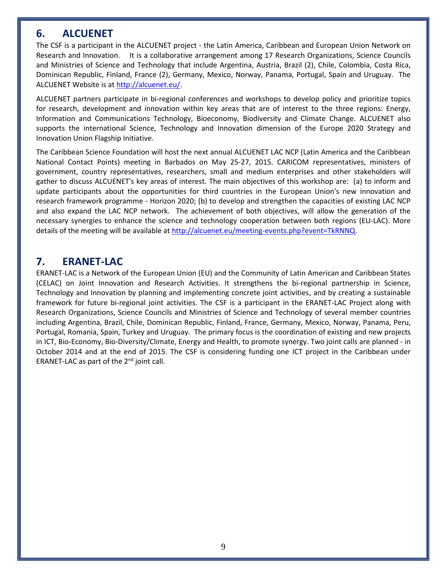# **6. ALCUENET**

The CSF is a participant in the ALCUENET project - the Latin America, Caribbean and European Union Network on Research and Innovation. It is a collaborative arrangement among 17 Research Organizations, Science Councils and Ministries of Science and Technology that include Argentina, Austria, Brazil (2), Chile, Colombia, Costa Rica, Dominican Republic, Finland, France (2), Germany, Mexico, Norway, Panama, Portugal, Spain and Uruguay. The ALCUENET Website is a[t http://alcuenet.eu/.](http://alcuenet.eu/)

ALCUENET partners participate in bi-regional conferences and workshops to develop policy and prioritize topics for research, development and innovation within key areas that are of interest to the three regions: Energy, Information and Communications Technology, Bioeconomy, Biodiversity and Climate Change. ALCUENET also supports the international Science, Technology and Innovation dimension of the Europe 2020 Strategy and Innovation Union Flagship Initiative.

The Caribbean Science Foundation will host the next annual ALCUENET LAC NCP (Latin America and the Caribbean National Contact Points) meeting in Barbados on May 25-27, 2015. CARICOM representatives, ministers of government, country representatives, researchers, small and medium enterprises and other stakeholders will gather to discuss ALCUENET's key areas of interest. The main objectives of this workshop are: (a) to inform and update participants about the opportunities for third countries in the European Union's new innovation and research framework programme - Horizon 2020; (b) to develop and strengthen the capacities of existing LAC NCP and also expand the LAC NCP network. The achievement of both objectives, will allow the generation of the necessary synergies to enhance the science and technology cooperation between both regions (EU-LAC). More details of the meeting will be available at [http://alcuenet.eu/meeting-events.php?event=TkRNNQ.](http://alcuenet.eu/meeting-events.php?event=TkRNNQ)

# **7. ERANET-LAC**

ERANET-LAC is a Network of the European Union (EU) and the Community of Latin American and Caribbean States (CELAC) on Joint Innovation and Research Activities. It strengthens the bi-regional partnership in Science, Technology and Innovation by planning and implementing concrete joint activities, and by creating a sustainable framework for future bi-regional joint activities. The CSF is a participant in the ERANET-LAC Project along with Research Organizations, Science Councils and Ministries of Science and Technology of several member countries including Argentina, Brazil, Chile, Dominican Republic, Finland, France, Germany, Mexico, Norway, Panama, Peru, Portugal, Romania, Spain, Turkey and Uruguay. The primary focus is the coordination of existing and new projects in ICT, Bio-Economy, Bio-Diversity/Climate, Energy and Health, to promote synergy. Two joint calls are planned - in October 2014 and at the end of 2015. The CSF is considering funding one ICT project in the Caribbean under ERANET-LAC as part of the 2nd joint call.